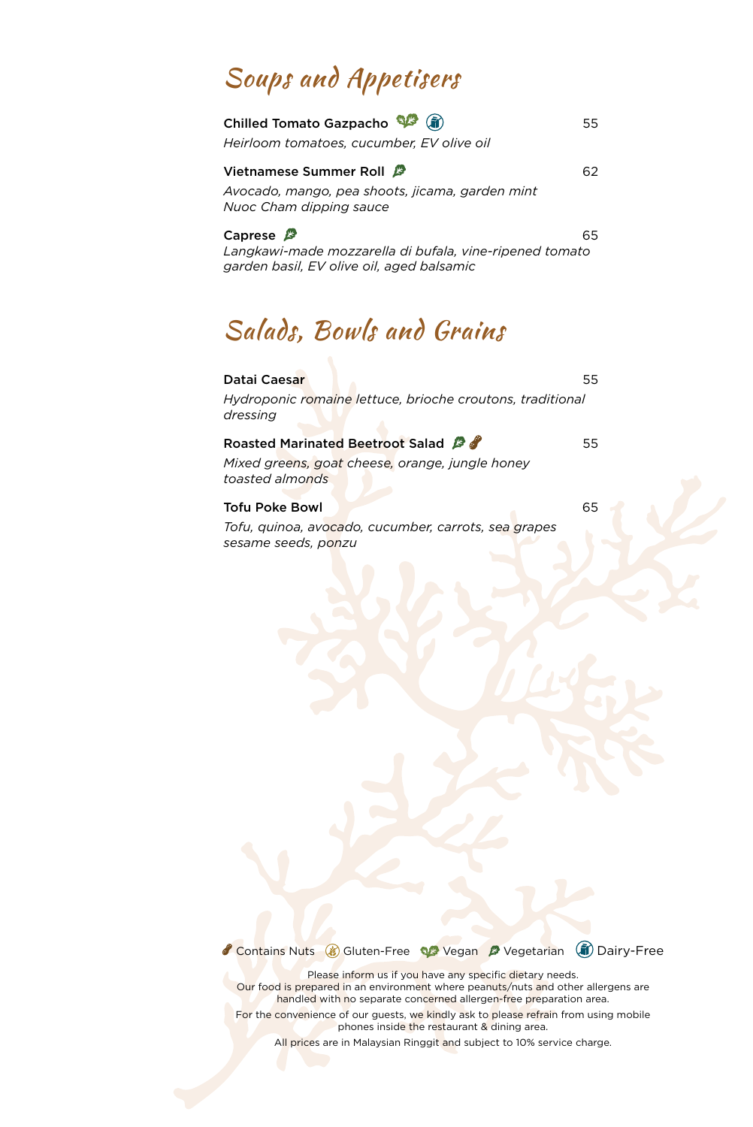## Soups and Appetisers

| $\left($ in<br>Chilled Tomato Gazpacho                                                                                       | 55 |
|------------------------------------------------------------------------------------------------------------------------------|----|
| Heirloom tomatoes, cucumber, EV olive oil                                                                                    |    |
| Vietnamese Summer Roll $\mathcal{B}$<br>Avocado, mango, pea shoots, jicama, garden mint<br>Nuoc Cham dipping sauce           | 62 |
| Caprese $\mathbb{F}$<br>Langkawi-made mozzarella di bufala, vine-ripened tomato<br>garden basil, EV olive oil, aged balsamic | 65 |

## Salads, Bowls and Grains

| Datai Caesar                                                                | 55 |
|-----------------------------------------------------------------------------|----|
| Hydroponic romaine lettuce, brioche croutons, traditional<br>dressing       |    |
| Roasted Marinated Beetroot Salad &                                          | 55 |
| Mixed greens, goat cheese, orange, jungle honey<br>toasted almonds          |    |
| <b>Tofu Poke Bowl</b>                                                       | 65 |
| Tofu, quinoa, avocado, cucumber, carrots, sea grapes<br>sesame seeds, ponzu |    |

Contains Nuts & Gluten-Free We Vegan & Vegetarian (ii) Dairy-Free

Please inform us if you have any specific dietary needs. Our food is prepared in an environment where peanuts/nuts and other allergens are handled with no separate concerned allergen-free preparation area.

For the convenience of our guests, we kindly ask to please refrain from using mobile phones inside the restaurant & dining area.

All prices are in Malaysian Ringgit and subject to 10% service charge.